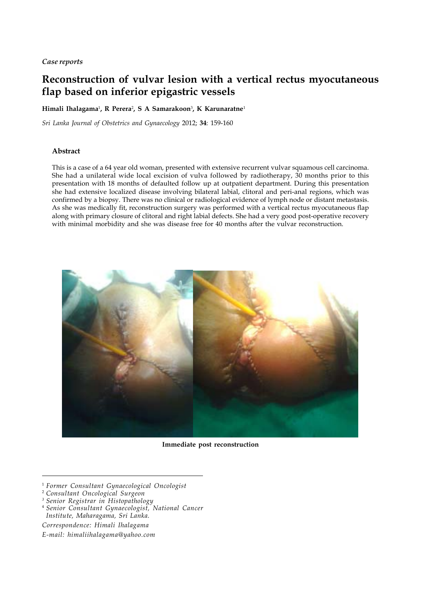*Case reports*

# **Reconstruction of vulvar lesion with a vertical rectus myocutaneous flap based on inferior epigastric vessels**

## **Himali Ihalagama**<sup>1</sup> **, R Perera**<sup>2</sup> **, S A Samarakoon**<sup>3</sup> **, K Karunaratne**<sup>1</sup>

*Sri Lanka Journal of Obstetrics and Gynaecology* 2012; **34**: 159-160

### **Abstract**

This is a case of a 64 year old woman, presented with extensive recurrent vulvar squamous cell carcinoma. She had a unilateral wide local excision of vulva followed by radiotherapy,  $\overline{30}$  months prior to this presentation with 18 months of defaulted follow up at outpatient department. During this presentation she had extensive localized disease involving bilateral labial, clitoral and peri-anal regions, which was confirmed by a biopsy. There was no clinical or radiological evidence of lymph node or distant metastasis. As she was medically fit, reconstruction surgery was performed with a vertical rectus myocutaneous flap along with primary closure of clitoral and right labial defects. She had a very good post-operative recovery with minimal morbidity and she was disease free for 40 months after the vulvar reconstruction.



**Immediate post reconstruction**

- <sup>1</sup> *Former Consultant Gynaecological Oncologist*
- <sup>2</sup> *Consultant Oncological Surgeon*
- *<sup>3</sup> Senior Registrar in Histopathology*
- <sup>4</sup> *Senior Consultant Gynaecologist, National Cancer Institute, Maharagama, Sri Lanka.*

*Correspondence: Himali Ihalagama*

*E-mail: himaliihalagama@yahoo.com*